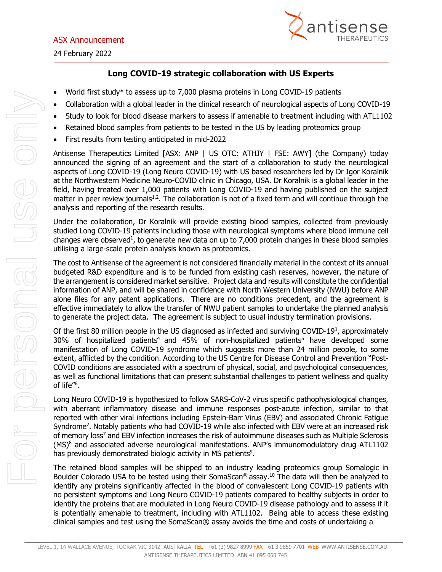24 February 2022



## **Long COVID-19 strategic collaboration with US Experts**

- World first study\* to assess up to 7,000 plasma proteins in Long COVID-19 patients
- Collaboration with a global leader in the clinical research of neurological aspects of Long COVID-19
- Study to look for blood disease markers to assess if amenable to treatment including with ATL1102
- Retained blood samples from patients to be tested in the US by leading proteomics group
- First results from testing anticipated in mid-2022

Antisense Therapeutics Limited [ASX: ANP | US OTC: ATHJY | FSE: AWY] (the Company) today announced the signing of an agreement and the start of a collaboration to study the neurological aspects of Long COVID-19 (Long Neuro COVID-19) with US based researchers led by Dr Igor Koralnik at the Northwestern Medicine Neuro-COVID clinic in Chicago, USA. Dr Koralnik is a global leader in the field, having treated over 1,000 patients with Long COVID-19 and having published on the subject matter in peer review journals $1,2$ . The collaboration is not of a fixed term and will continue through the analysis and reporting of the research results.

Under the collaboration, Dr Koralnik will provide existing blood samples, collected from previously studied Long COVID-19 patients including those with neurological symptoms where blood immune cell changes were observed<sup>1</sup>, to generate new data on up to 7,000 protein changes in these blood samples utilising a large-scale protein analysis known as proteomics.

The cost to Antisense of the agreement is not considered financially material in the context of its annual budgeted R&D expenditure and is to be funded from existing cash reserves, however, the nature of the arrangement is considered market sensitive. Project data and results will constitute the confidential information of ANP, and will be shared in confidence with North Western University (NWU) before ANP alone files for any patent applications. There are no conditions precedent, and the agreement is effective immediately to allow the transfer of NWU patient samples to undertake the planned analysis to generate the project data. The agreement is subject to usual industry termination provisions.

Of the first 80 million people in the US diagnosed as infected and surviving COVID-19<sup>3</sup>, approximately 30% of hospitalized patients<sup>4</sup> and 45% of non-hospitalized patients<sup>5</sup> have developed some manifestation of Long COVID-19 syndrome which suggests more than 24 million people, to some extent, afflicted by the condition. According to the US Centre for Disease Control and Prevention "Post-COVID conditions are associated with a spectrum of physical, social, and psychological consequences, as well as functional limitations that can present substantial challenges to patient wellness and quality of life"<sup>6</sup>.

Long Neuro COVID-19 is hypothesized to follow SARS-CoV-2 virus specific pathophysiological changes, with aberrant inflammatory disease and immune responses post-acute infection, similar to that reported with other viral infections including Epstein-Barr Virus (EBV) and associated Chronic Fatigue Syndrome<sup>2</sup>. Notably patients who had COVID-19 while also infected with EBV were at an increased risk of memory loss<sup>7</sup> and EBV infection increases the risk of autoimmune diseases such as Multiple Sclerosis  $(MS)^8$  and associated adverse neurological manifestations. ANP's immunomodulatory drug ATL1102 has previously demonstrated biologic activity in MS patients<sup>9</sup>.

The retained blood samples will be shipped to an industry leading proteomics group Somalogic in Boulder Colorado USA to be tested using their SomaScan® assay.10 The data will then be analyzed to identify any proteins significantly affected in the blood of convalescent Long COVID-19 patients with no persistent symptoms and Long Neuro COVID-19 patients compared to healthy subjects in order to identify the proteins that are modulated in Long Neuro COVID-19 disease pathology and to assess if it is potentially amenable to treatment, including with ATL1102. Being able to access these existing clinical samples and test using the SomaScan® assay avoids the time and costs of undertaking a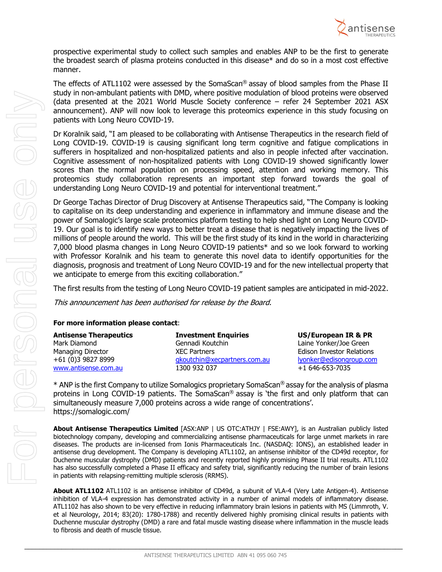

prospective experimental study to collect such samples and enables ANP to be the first to generate the broadest search of plasma proteins conducted in this disease\* and do so in a most cost effective manner.

The effects of ATL1102 were assessed by the SomaScan® assay of blood samples from the Phase II study in non-ambulant patients with DMD, where positive modulation of blood proteins were observed (data presented at the 2021 World Muscle Society conference – refer 24 September 2021 ASX announcement). ANP will now look to leverage this proteomics experience in this study focusing on patients with Long Neuro COVID-19.

Dr Koralnik said, "I am pleased to be collaborating with Antisense Therapeutics in the research field of Long COVID-19. COVID-19 is causing significant long term cognitive and fatigue complications in sufferers in hospitalized and non-hospitalized patients and also in people infected after vaccination. Cognitive assessment of non-hospitalized patients with Long COVID-19 showed significantly lower scores than the normal population on processing speed, attention and working memory. This proteomics study collaboration represents an important step forward towards the goal of understanding Long Neuro COVID-19 and potential for interventional treatment."

Dr George Tachas Director of Drug Discovery at Antisense Therapeutics said, "The Company is looking to capitalise on its deep understanding and experience in inflammatory and immune disease and the power of Somalogic's large scale proteomics platform testing to help shed light on Long Neuro COVID-19. Our goal is to identify new ways to better treat a disease that is negatively impacting the lives of millions of people around the world. This will be the first study of its kind in the world in characterizing 7,000 blood plasma changes in Long Neuro COVID-19 patients\* and so we look forward to working with Professor Koralnik and his team to generate this novel data to identify opportunities for the diagnosis, prognosis and treatment of Long Neuro COVID-19 and for the new intellectual property that we anticipate to emerge from this exciting collaboration."

The first results from the testing of Long Neuro COVID-19 patient samples are anticipated in mid-2022.

This announcement has been authorised for release by the Board.

## **For more information please contact**:

| <b>Antisense Therapeutics</b> | <b>Investment Enquiries</b>  | US/European IR & PR              |
|-------------------------------|------------------------------|----------------------------------|
| Mark Diamond                  | Gennadi Koutchin             | Laine Yonker/Joe Green           |
| Managing Director             | <b>XEC Partners</b>          | <b>Edison Investor Relations</b> |
| +61 (0)3 9827 8999            | gkoutchin@xecpartners.com.au | lyonker@edisongroup.com          |
| www.antisense.com.au          | 1300 932 037                 | $+1646-653-7035$                 |

\* ANP is the first Company to utilize Somalogics proprietary SomaScan® assay for the analysis of plasma proteins in Long COVID-19 patients. The SomaScan® assay is 'the first and only platform that can simultaneously measure 7,000 proteins across a wide range of concentrations'. https://somalogic.com/

**About Antisense Therapeutics Limited** [ASX:ANP | US OTC:ATHJY | FSE:AWY], is an Australian publicly listed biotechnology company, developing and commercializing antisense pharmaceuticals for large unmet markets in rare diseases. The products are in-licensed from Ionis Pharmaceuticals Inc. (NASDAQ: IONS), an established leader in antisense drug development. The Company is developing ATL1102, an antisense inhibitor of the CD49d receptor, for Duchenne muscular dystrophy (DMD) patients and recently reported highly promising Phase II trial results. ATL1102 has also successfully completed a Phase II efficacy and safety trial, significantly reducing the number of brain lesions in patients with relapsing-remitting multiple sclerosis (RRMS).

**About ATL1102** ATL1102 is an antisense inhibitor of CD49d, a subunit of VLA-4 (Very Late Antigen-4). Antisense inhibition of VLA-4 expression has demonstrated activity in a number of animal models of inflammatory disease. ATL1102 has also shown to be very effective in reducing inflammatory brain lesions in patients with MS (Limmroth, V. et al Neurology, 2014; 83(20): 1780-1788) and recently delivered highly promising clinical results in patients with Duchenne muscular dystrophy (DMD) a rare and fatal muscle wasting disease where inflammation in the muscle leads to fibrosis and death of muscle tissue.